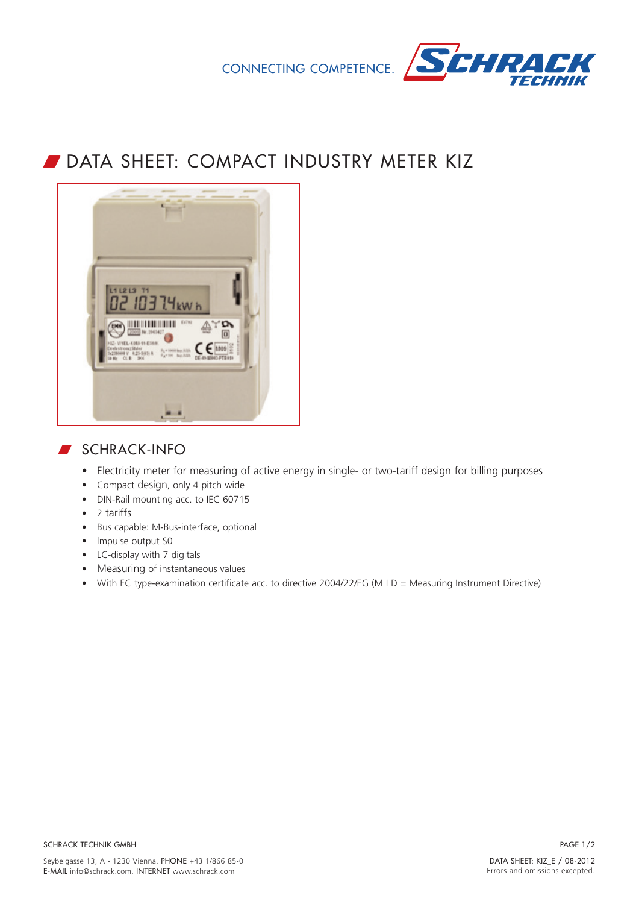



## DATA SHEET: COMPACT INDUSTRY METER KIZ



## **SCHRACK-INFO**

- Electricity meter for measuring of active energy in single- or two-tariff design for billing purposes
- Compact design, only 4 pitch wide
- DIN-Rail mounting acc. to IEC 60715
- 2 tariffs
- Bus capable: M-Bus-interface, optional
- Impulse output S0
- LC-display with 7 digitals
- Measuring of instantaneous values
- With EC type-examination certificate acc. to directive 2004/22/EG (M I D = Measuring Instrument Directive)